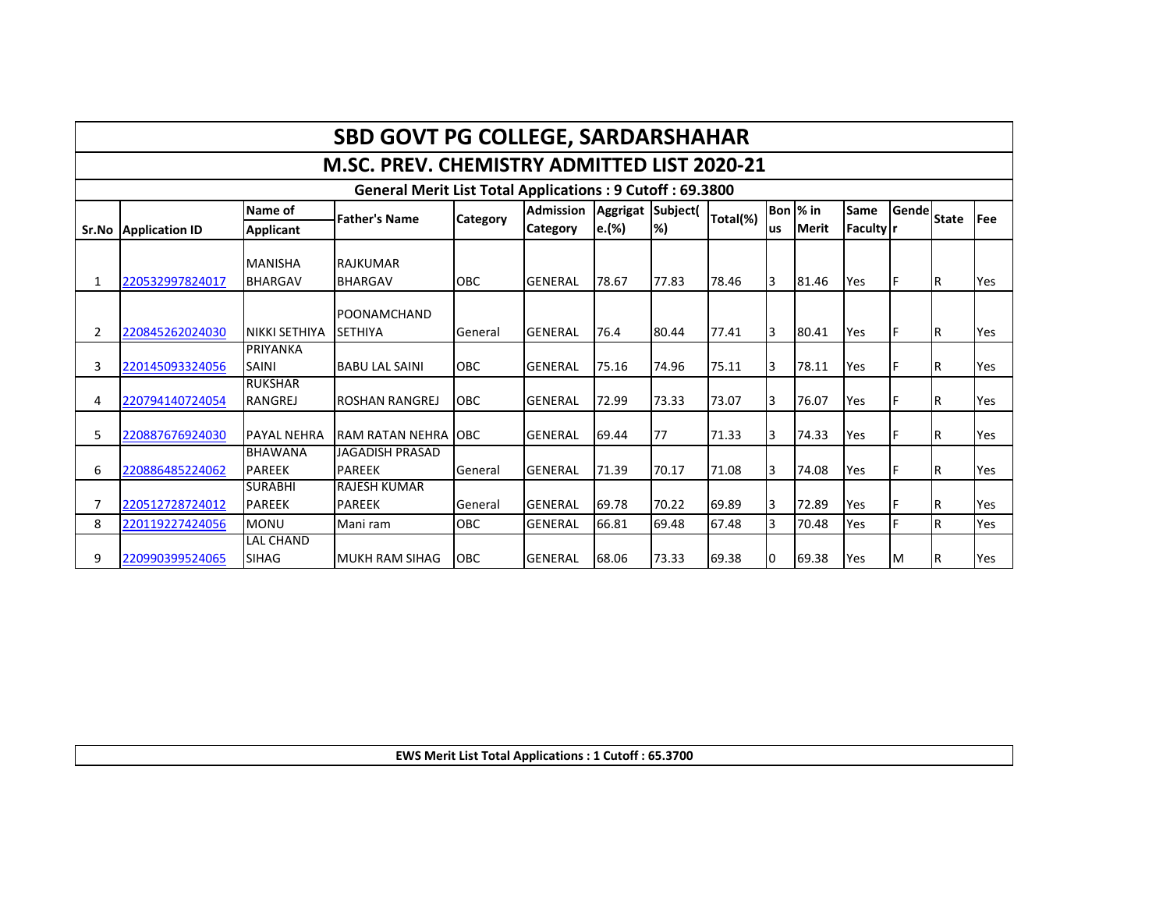|                                                                 | <b>SBD GOVT PG COLLEGE, SARDARSHAHAR</b>    |                    |                        |                 |                 |       |       |              |              |              |                  |   |     |     |
|-----------------------------------------------------------------|---------------------------------------------|--------------------|------------------------|-----------------|-----------------|-------|-------|--------------|--------------|--------------|------------------|---|-----|-----|
|                                                                 | M.SC. PREV. CHEMISTRY ADMITTED LIST 2020-21 |                    |                        |                 |                 |       |       |              |              |              |                  |   |     |     |
| <b>General Merit List Total Applications: 9 Cutoff: 69.3800</b> |                                             |                    |                        |                 |                 |       |       |              |              |              |                  |   |     |     |
|                                                                 |                                             | Aggrigat Subject(  | Total(%)               |                 | Bon % in        | Same  | Gende | <b>State</b> | <b>IFee</b>  |              |                  |   |     |     |
|                                                                 | Sr.No Application ID                        | <b>Applicant</b>   | <b>Father's Name</b>   | <b>Category</b> | <b>Category</b> | e.(%) | $\%$  |              | <b>us</b>    | <b>Merit</b> | <b>Faculty</b> r |   |     |     |
|                                                                 |                                             |                    |                        |                 |                 |       |       |              |              |              |                  |   |     |     |
|                                                                 |                                             | <b>MANISHA</b>     | <b>RAJKUMAR</b>        |                 |                 |       |       |              |              |              |                  |   |     |     |
| 1                                                               | 220532997824017                             | <b>BHARGAV</b>     | <b>BHARGAV</b>         | OBC             | <b>GENERAL</b>  | 78.67 | 77.83 | 78.46        | 3            | 81.46        | Yes              |   | IR. | Yes |
|                                                                 |                                             |                    | POONAMCHAND            |                 |                 |       |       |              |              |              |                  |   |     |     |
| 2                                                               | 220845262024030                             | NIKKI SETHIYA      | <b>SETHIYA</b>         | General         | <b>GENERAL</b>  | 76.4  | 80.44 | 77.41        | 3            | 80.41        | Yes              |   | IR. | Yes |
|                                                                 |                                             | PRIYANKA           |                        |                 |                 |       |       |              |              |              |                  |   |     |     |
| 3                                                               | 220145093324056                             | <b>SAINI</b>       | <b>BABU LAL SAINI</b>  | <b>OBC</b>      | <b>GENERAL</b>  | 75.16 | 74.96 | 75.11        | 3            | 78.11        | Yes              |   |     | Yes |
|                                                                 |                                             | <b>RUKSHAR</b>     |                        |                 |                 |       |       |              |              |              |                  |   |     |     |
| 4                                                               | 220794140724054                             | <b>RANGREJ</b>     | <b>ROSHAN RANGREJ</b>  | OBC             | <b>GENERAL</b>  | 72.99 | 73.33 | 73.07        | 3            | 76.07        | Yes              | F | ΙR  | Yes |
|                                                                 |                                             |                    |                        |                 |                 |       |       |              |              |              |                  |   |     |     |
| 5                                                               | 220887676924030                             | <b>PAYAL NEHRA</b> | RAM RATAN NEHRA LOBC   |                 | <b>GENERAL</b>  | 69.44 | 77    | 71.33        | 3            | 74.33        | Yes              | F | IR. | Yes |
|                                                                 |                                             | <b>BHAWANA</b>     | JAGADISH PRASAD        |                 |                 |       |       |              |              |              |                  |   |     |     |
| 6                                                               | 220886485224062                             | <b>PAREEK</b>      | <b>PAREEK</b>          | General         | <b>GENERAL</b>  | 71.39 | 70.17 | 71.08        | 3            | 74.08        | Yes              |   | ΙR  | Yes |
|                                                                 |                                             | <b>SURABHI</b>     | <b>RAJESH KUMAR</b>    |                 |                 |       |       |              |              |              |                  |   |     |     |
| 7                                                               | 220512728724012                             | <b>PAREEK</b>      | <b>PAREEK</b>          | General         | <b>GENERAL</b>  | 69.78 | 70.22 | 69.89        | 3            | 72.89        | Yes              | F | IR. | Yes |
| 8                                                               | 220119227424056                             | <b>MONU</b>        | Mani ram               | OBC             | <b>GENERAL</b>  | 66.81 | 69.48 | 67.48        | <sup>3</sup> | 70.48        | Yes              | E |     | Yes |
|                                                                 |                                             | LAL CHAND          |                        |                 |                 |       |       |              |              |              |                  |   |     |     |
| 9                                                               | 220990399524065                             | <b>SIHAG</b>       | <b>IMUKH RAM SIHAG</b> | OBC             | <b>GENERAL</b>  | 68.06 | 73.33 | 69.38        | l0           | 69.38        | Yes              | M | R   | Yes |

**EWS Merit List Total Applications : 1 Cutoff : 65.3700**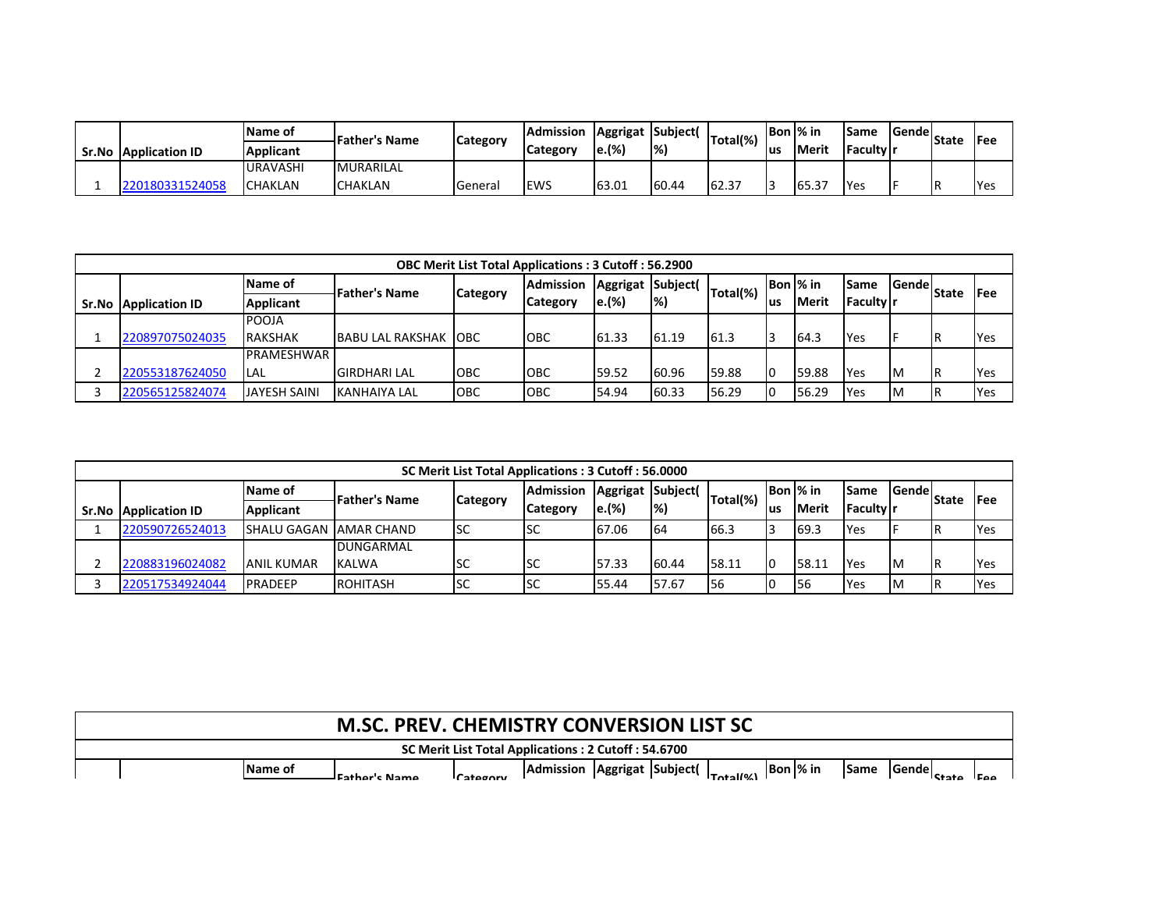|       |                       | <b>Name of</b>   | -Father's Name   | <b>Category</b> | <b>Admission</b> | Aggrigat Subject( |               | Total(%) | Bon  % in |                 | Same             | <b>Sendel</b> | <b>State</b> | <b>IFee</b> |
|-------|-----------------------|------------------|------------------|-----------------|------------------|-------------------|---------------|----------|-----------|-----------------|------------------|---------------|--------------|-------------|
| Sr.No | <b>Application ID</b> | <b>Applicant</b> |                  |                 | <b>Category</b>  | le.(%)            | $\frac{1}{2}$ |          | lus       | <b>Merit</b>    | <b>Faculty</b> r |               |              |             |
|       |                       | <b>URAVASHI</b>  | <b>MURARILAL</b> |                 |                  |                   |               |          |           |                 |                  |               |              |             |
|       | 180331524058          | <b>ICHAKLAN</b>  | <b>CHAKLAN</b>   | General         | <b>EWS</b>       | 63.01             | 60.44         | 62.37    |           | $165.3^{\circ}$ | <b>Yes</b>       |               | IR           | <b>IYes</b> |

|       | <b>OBC Merit List Total Applications: 3 Cutoff: 56.2900</b> |                     |                              |                 |                  |                  |                           |          |     |               |                    |               |              |             |  |
|-------|-------------------------------------------------------------|---------------------|------------------------------|-----------------|------------------|------------------|---------------------------|----------|-----|---------------|--------------------|---------------|--------------|-------------|--|
|       |                                                             | Name of             | <b>IFather's Name</b>        | <b>Category</b> | <b>Admission</b> | Aggrigat Subject |                           | Total(%) |     | Bon % in      | ISame              | <b>Sendel</b> | <b>State</b> | <b>IFee</b> |  |
| Sr.No | <b>Application ID</b>                                       | <b>Applicant</b>    |                              |                 | <b>Category</b>  | e.(%)            | $\left  \% \right\rangle$ |          | lus | <b>IMerit</b> | <b>IFaculty In</b> |               |              |             |  |
|       |                                                             | <b>POOJA</b>        |                              |                 |                  |                  |                           |          |     |               |                    |               |              |             |  |
|       | 220897075024035                                             | <b>RAKSHAK</b>      | <b>BABU LAL RAKSHAK IOBC</b> |                 | <b>OBC</b>       | 61.33            | 61.19                     | 61.3     |     | 64.3          | Yes                |               |              | Yes         |  |
|       |                                                             | <b>PRAMESHWAR</b>   |                              |                 |                  |                  |                           |          |     |               |                    |               |              |             |  |
|       | 220553187624050                                             | <b>LAL</b>          | <b>GIRDHARI LAL</b>          | OBC             | <b>OBC</b>       | 59.52            | 60.96                     | 59.88    | I٥  | 59.88         | Yes                | Iм            |              | Yes         |  |
|       | 220565125824074                                             | <b>JAYESH SAINI</b> | KANHAIYA LAL                 | OBC             | <b>OBC</b>       | 54.94            | 60.33                     | 56.29    | I٥  | 56.29         | Yes                | Iм            |              | Yes         |  |

| SC Merit List Total Applications: 3 Cutoff: 56.0000 |                    |                      |     |                              |                   |                           |             |     |               |              |               |              |             |
|-----------------------------------------------------|--------------------|----------------------|-----|------------------------------|-------------------|---------------------------|-------------|-----|---------------|--------------|---------------|--------------|-------------|
|                                                     | Name of            | <b>Father's Name</b> |     | <b>Admission</b><br>Category | Aggrigat Subject( |                           | Total(%)    |     | Bon  % in     | lSame        | <b>Sendel</b> | <b>State</b> | <b>IFee</b> |
| <b>Sr.No Application ID</b>                         | <b>Applicant</b>   |                      |     | <b>Category</b>              | e.(%)             | $\left  \% \right\rangle$ |             | lus | <b>IMerit</b> | l Faculty Ir |               |              |             |
| 220590726524013                                     | <b>SHALU GAGAN</b> | <b>AMAR CHAND</b>    | lsc | ISC                          | 67.06             | <b>64</b>                 | 66.3        |     | 69.3          | Yes          |               |              | Yes         |
|                                                     |                    | <b>DUNGARMAL</b>     |     |                              |                   |                           |             |     |               |              |               |              |             |
| 220883196024082                                     | ANIL KUMAR         | KALWA                | ıэc | ISC                          | 157.33            | 60.44                     | 58.11       | I٥  | 58.11         | <b>Yes</b>   | <b>IM</b>     |              | <b>Yes</b>  |
| 220517534924044                                     | <b>PRADEEP</b>     | ROHITASH             | lsc | <b>I</b> SC                  | 55.44             | 57.67                     | <b>I</b> 56 |     | I56           | Yes          | <b>IM</b>     |              | <b>Yes</b>  |

|  |                | <b>M.SC. PREV. CHEMISTRY CONVERSION LIST SC</b> |                 |                                                     |  |                      |          |             |              |                |                     |
|--|----------------|-------------------------------------------------|-----------------|-----------------------------------------------------|--|----------------------|----------|-------------|--------------|----------------|---------------------|
|  |                |                                                 |                 | SC Merit List Total Applications: 2 Cutoff: 54.6700 |  |                      |          |             |              |                |                     |
|  | <b>Name of</b> | - Fathar's Name                                 | <i>Category</i> | Admission Aggrigat Subject(                         |  | $T_{\text{obs}}(10)$ | Bon % in | <b>Same</b> | <b>Sende</b> | <b>A</b> ctata | $I E \wedge \wedge$ |